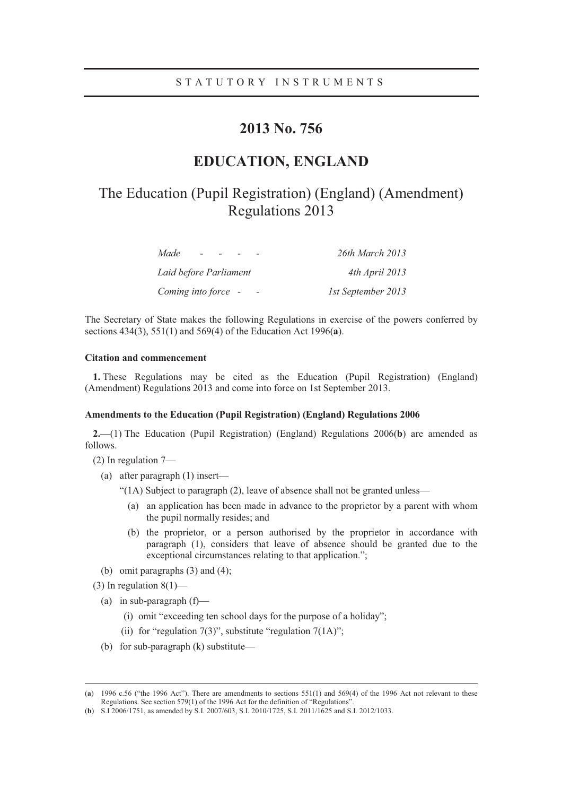# **2013 No. 756**

# **EDUCATION, ENGLAND**

# The Education (Pupil Registration) (England) (Amendment) Regulations 2013

| Made                   | 26th March 2013    |
|------------------------|--------------------|
| Laid before Parliament | 4th April 2013     |
| Coming into force -    | 1st September 2013 |

The Secretary of State makes the following Regulations in exercise of the powers conferred by sections 434(3), 551(1) and 569(4) of the Education Act 1996(**a**).

## **Citation and commencement**

**1.** These Regulations may be cited as the Education (Pupil Registration) (England) (Amendment) Regulations 2013 and come into force on 1st September 2013.

#### **Amendments to the Education (Pupil Registration) (England) Regulations 2006**

**2.**—(1) The Education (Pupil Registration) (England) Regulations 2006(**b**) are amended as follows.

(2) In regulation 7—

- (a) after paragraph (1) insert—
	- "(1A) Subject to paragraph (2), leave of absence shall not be granted unless—
		- (a) an application has been made in advance to the proprietor by a parent with whom the pupil normally resides; and
		- (b) the proprietor, or a person authorised by the proprietor in accordance with paragraph (1), considers that leave of absence should be granted due to the exceptional circumstances relating to that application.";
- (b) omit paragraphs (3) and (4);

(3) In regulation  $8(1)$ —

- (a) in sub-paragraph  $(f)$ 
	- (i) omit "exceeding ten school days for the purpose of a holiday";
	- (ii) for "regulation  $7(3)$ ", substitute "regulation  $7(1A)$ ";
- (b) for sub-paragraph (k) substitute—

<sup>(</sup>**a**) 1996 c.56 ("the 1996 Act"). There are amendments to sections 551(1) and 569(4) of the 1996 Act not relevant to these Regulations. See section 579(1) of the 1996 Act for the definition of "Regulations".

<sup>(</sup>**b**) S.I 2006/1751, as amended by S.I. 2007/603, S.I. 2010/1725, S.I. 2011/1625 and S.I. 2012/1033.